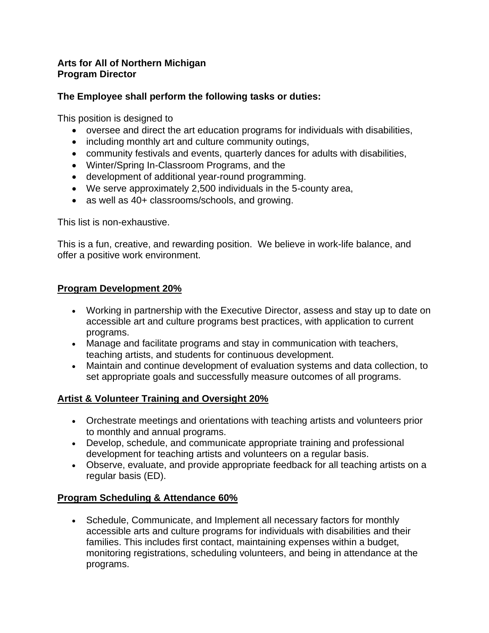#### **Arts for All of Northern Michigan Program Director**

## **The Employee shall perform the following tasks or duties:**

This position is designed to

- oversee and direct the art education programs for individuals with disabilities,
- including monthly art and culture community outings,
- community festivals and events, quarterly dances for adults with disabilities,
- Winter/Spring In-Classroom Programs, and the
- development of additional year-round programming.
- We serve approximately 2,500 individuals in the 5-county area,
- as well as 40+ classrooms/schools, and growing.

This list is non-exhaustive.

This is a fun, creative, and rewarding position. We believe in work-life balance, and offer a positive work environment.

## **Program Development 20%**

- Working in partnership with the Executive Director, assess and stay up to date on accessible art and culture programs best practices, with application to current programs.
- Manage and facilitate programs and stay in communication with teachers, teaching artists, and students for continuous development.
- Maintain and continue development of evaluation systems and data collection, to set appropriate goals and successfully measure outcomes of all programs.

# **Artist & Volunteer Training and Oversight 20%**

- Orchestrate meetings and orientations with teaching artists and volunteers prior to monthly and annual programs.
- Develop, schedule, and communicate appropriate training and professional development for teaching artists and volunteers on a regular basis.
- Observe, evaluate, and provide appropriate feedback for all teaching artists on a regular basis (ED).

# **Program Scheduling & Attendance 60%**

• Schedule, Communicate, and Implement all necessary factors for monthly accessible arts and culture programs for individuals with disabilities and their families. This includes first contact, maintaining expenses within a budget, monitoring registrations, scheduling volunteers, and being in attendance at the programs.